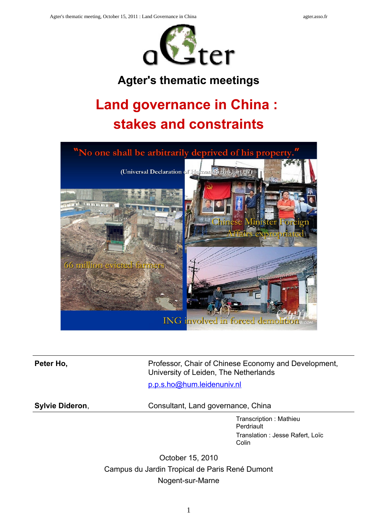

## **Agter's thematic meetings**

## **Land governance in China : stakes and constraints**



**Peter Ho, Separate Access** Professor, Chair of Chinese Economy and Development, University of Leiden, The Netherlands

[p.p.s.ho@hum.leidenuniv.nl](mailto:p.p.s.ho@hum.leidenuniv.nl)

**Sylvie Dideron, Consultant, Land governance, China** 

Transcription : Mathieu **Perdriault** Translation : Jesse Rafert, Loïc Colin

October 15, 2010 Campus du Jardin Tropical de Paris René Dumont Nogent-sur-Marne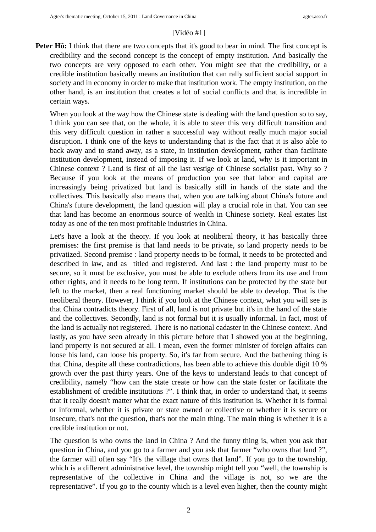### [Vidéo #1]

**Peter Hô:** I think that there are two concepts that it's good to bear in mind. The first concept is credibility and the second concept is the concept of empty institution. And basically the two concepts are very opposed to each other. You might see that the credibility, or a credible institution basically means an institution that can rally sufficient social support in society and in economy in order to make that institution work. The empty institution, on the other hand, is an institution that creates a lot of social conflicts and that is incredible in certain ways.

When you look at the way how the Chinese state is dealing with the land question so to say, I think you can see that, on the whole, it is able to steer this very difficult transition and this very difficult question in rather a successful way without really much major social disruption. I think one of the keys to understanding that is the fact that it is also able to back away and to stand away, as a state, in institution development, rather than facilitate institution development, instead of imposing it. If we look at land, why is it important in Chinese context ? Land is first of all the last vestige of Chinese socialist past. Why so ? Because if you look at the means of production you see that labor and capital are increasingly being privatized but land is basically still in hands of the state and the collectives. This basically also means that, when you are talking about China's future and China's future development, the land question will play a crucial role in that. You can see that land has become an enormous source of wealth in Chinese society. Real estates list today as one of the ten most profitable industries in China.

Let's have a look at the theory. If you look at neoliberal theory, it has basically three premises: the first premise is that land needs to be private, so land property needs to be privatized. Second premise : land property needs to be formal, it needs to be protected and described in law, and as titled and registered. And last : the land property must to be secure, so it must be exclusive, you must be able to exclude others from its use and from other rights, and it needs to be long term. If institutions can be protected by the state but left to the market, then a real functioning market should be able to develop. That is the neoliberal theory. However, I think if you look at the Chinese context, what you will see is that China contradicts theory. First of all, land is not private but it's in the hand of the state and the collectives. Secondly, land is not formal but it is usually informal. In fact, most of the land is actually not registered. There is no national cadaster in the Chinese context. And lastly, as you have seen already in this picture before that I showed you at the beginning, land property is not secured at all. I mean, even the former minister of foreign affairs can loose his land, can loose his property. So, it's far from secure. And the bathening thing is that China, despite all these contradictions, has been able to achieve this double digit 10 % growth over the past thirty years. One of the keys to understand leads to that concept of credibility, namely "how can the state create or how can the state foster or facilitate the establishment of credible institutions ?". I think that, in order to understand that, it seems that it really doesn't matter what the exact nature of this institution is. Whether it is formal or informal, whether it is private or state owned or collective or whether it is secure or insecure, that's not the question, that's not the main thing. The main thing is whether it is a credible institution or not.

The question is who owns the land in China ? And the funny thing is, when you ask that question in China, and you go to a farmer and you ask that farmer "who owns that land ?", the farmer will often say "It's the village that owns that land". If you go to the township, which is a different administrative level, the township might tell you "well, the township is representative of the collective in China and the village is not, so we are the representative". If you go to the county which is a level even higher, then the county might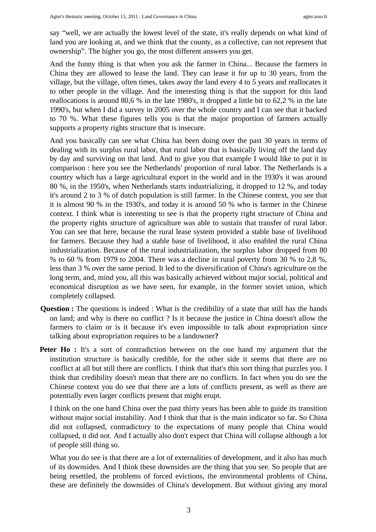say "well, we are actually the lowest level of the state, it's really depends on what kind of land you are looking at, and we think that the county, as a collective, can not represent that ownership". The higher you go, the most different answers you get.

And the funny thing is that when you ask the farmer in China... Because the farmers in China they are allowed to lease the land. They can lease it for up to 30 years, from the village, but the village, often times, takes away the land every 4 to 5 years and reallocates it to other people in the village. And the interesting thing is that the support for this land reallocations is around 80,6 % in the late 1980's, it dropped a little bit to 62,2 % in the late 1990's, but when I did a survey in 2005 over the whole country and I can see that it backed to 70 %. What these figures tells you is that the major proportion of farmers actually supports a property rights structure that is insecure.

And you basically can see what China has been doing over the past 30 years in terms of dealing with its surplus rural labor, that rural labor that is basically living off the land day by day and surviving on that land. And to give you that example I would like to put it in comparison : here you see the Netherlands' proportion of rural labor. The Netherlands is a country which has a large agricultural export in the world and in the 1930's it was around 80 %, in the 1950's, when Netherlands starts industrializing, it dropped to 12 %, and today it's around 2 to 3 % of dutch population is still farmer. In the Chinese context, you see that it is almost 90 % in the 1930's, and today it is around 50 % who is farmer in the Chinese context. I think what is interesting to see is that the property right structure of China and the property rights structure of agriculture was able to sustain that transfer of rural labor. You can see that here, because the rural lease system provided a stable base of livelihood for farmers. Because they had a stable base of livelihood, it also enabled the rural China industrialization. Because of the rural industrialization, the surplus labor dropped from 80 % to 60 % from 1979 to 2004. There was a decline in rural poverty from 30 % to 2,8 %, less than 3 % over the same period. It led to the diversification of China's agriculture on the long term, and, mind you, all this was basically achieved without major social, political and economical disruption as we have seen, for example, in the former soviet union, which completely collapsed.

- **Question :** The questions is indeed : What is the credibility of a state that still has the hands on land; and why is there no conflict ? Is it because the justice in China doesn't allow the farmers to claim or is it because it's even impossible to talk about expropriation since talking about expropriation requires to be a landowner**?**
- **Peter Ho**: It's a sort of contradiction between on the one hand my argument that the institution structure is basically credible, for the other side it seems that there are no conflict at all but still there are conflicts. I think that that's this sort thing that puzzles you. I think that credibility doesn't mean that there are no conflicts. In fact when you do see the Chinese context you do see that there are a lots of conflicts present, as well as there are potentially even larger conflicts present that might erupt.

I think on the one hand China over the past thirty years has been able to guide its transition without major social instability. And I think that that is the main indicator so far. So China did not collapsed, contradictory to the expectations of many people that China would collapsed, it did not. And I actually also don't expect that China will collapse although a lot of people still thing so.

What you do see is that there are a lot of externalities of development, and it also has much of its downsides. And I think these downsides are the thing that you see. So people that are being resettled, the problems of forced evictions, the environmental problems of China, these are definitely the downsides of China's development. But without giving any moral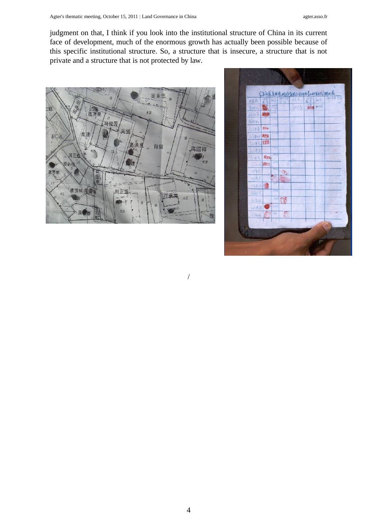judgment on that, I think if you look into the institutional structure of China in its current face of development, much of the enormous growth has actually been possible because of this specific institutional structure. So, a structure that is insecure, a structure that is not private and a structure that is not protected by law.

/



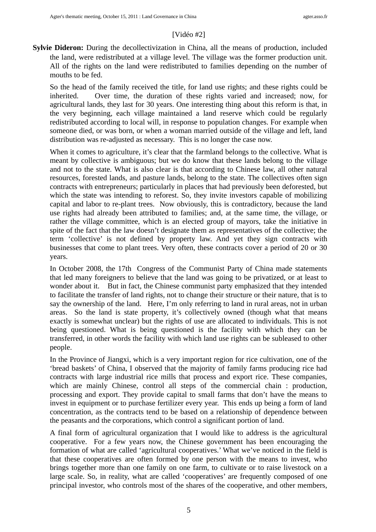### [Vidéo #2]

**Sylvie Dideron:** During the decollectivization in China, all the means of production, included the land, were redistributed at a village level. The village was the former production unit. All of the rights on the land were redistributed to families depending on the number of mouths to be fed.

So the head of the family received the title, for land use rights; and these rights could be inherited. Over time, the duration of these rights varied and increased; now, for agricultural lands, they last for 30 years. One interesting thing about this reform is that, in the very beginning, each village maintained a land reserve which could be regularly redistributed according to local will, in response to population changes. For example when someone died, or was born, or when a woman married outside of the village and left, land distribution was re-adjusted as necessary. This is no longer the case now.

When it comes to agriculture, it's clear that the farmland belongs to the collective. What is meant by collective is ambiguous; but we do know that these lands belong to the village and not to the state. What is also clear is that according to Chinese law, all other natural resources, forested lands, and pasture lands, belong to the state. The collectives often sign contracts with entrepreneurs; particularly in places that had previously been deforested, but which the state was intending to reforest. So, they invite investors capable of mobilizing capital and labor to re-plant trees. Now obviously, this is contradictory, because the land use rights had already been attributed to families; and, at the same time, the village, or rather the village committee, which is an elected group of mayors, take the initiative in spite of the fact that the law doesn't designate them as representatives of the collective; the term 'collective' is not defined by property law. And yet they sign contracts with businesses that come to plant trees. Very often, these contracts cover a period of 20 or 30 years.

In October 2008, the 17th Congress of the Communist Party of China made statements that led many foreigners to believe that the land was going to be privatized, or at least to wonder about it. But in fact, the Chinese communist party emphasized that they intended to facilitate the transfer of land rights, not to change their structure or their nature, that is to say the ownership of the land. Here, I'm only referring to land in rural areas, not in urban areas. So the land is state property, it's collectively owned (though what that means exactly is somewhat unclear) but the rights of use are allocated to individuals. This is not being questioned. What is being questioned is the facility with which they can be transferred, in other words the facility with which land use rights can be subleased to other people.

In the Province of Jiangxi, which is a very important region for rice cultivation, one of the 'bread baskets' of China, I observed that the majority of family farms producing rice had contracts with large industrial rice mills that process and export rice. These companies, which are mainly Chinese, control all steps of the commercial chain : production, processing and export. They provide capital to small farms that don't have the means to invest in equipment or to purchase fertilizer every year. This ends up being a form of land concentration, as the contracts tend to be based on a relationship of dependence between the peasants and the corporations, which control a significant portion of land.

A final form of agricultural organization that I would like to address is the agricultural cooperative. For a few years now, the Chinese government has been encouraging the formation of what are called 'agricultural cooperatives.' What we've noticed in the field is that these cooperatives are often formed by one person with the means to invest, who brings together more than one family on one farm, to cultivate or to raise livestock on a large scale. So, in reality, what are called 'cooperatives' are frequently composed of one principal investor, who controls most of the shares of the cooperative, and other members,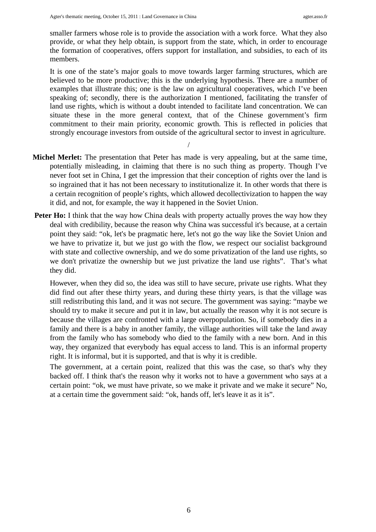smaller farmers whose role is to provide the association with a work force. What they also provide, or what they help obtain, is support from the state, which, in order to encourage the formation of cooperatives, offers support for installation, and subsidies, to each of its members.

It is one of the state's major goals to move towards larger farming structures, which are believed to be more productive; this is the underlying hypothesis. There are a number of examples that illustrate this; one is the law on agricultural cooperatives, which I've been speaking of; secondly, there is the authorization I mentioned, facilitating the transfer of land use rights, which is without a doubt intended to facilitate land concentration. We can situate these in the more general context, that of the Chinese government's firm commitment to their main priority, economic growth. This is reflected in policies that strongly encourage investors from outside of the agricultural sector to invest in agriculture.

/

- **Michel Merlet:** The presentation that Peter has made is very appealing, but at the same time, potentially misleading, in claiming that there is no such thing as property. Though I've never foot set in China, I get the impression that their conception of rights over the land is so ingrained that it has not been necessary to institutionalize it. In other words that there is a certain recognition of people's rights, which allowed decollectivization to happen the way it did, and not, for example, the way it happened in the Soviet Union.
- Peter Ho: I think that the way how China deals with property actually proves the way how they deal with credibility, because the reason why China was successful it's because, at a certain point they said: "ok, let's be pragmatic here, let's not go the way like the Soviet Union and we have to privatize it, but we just go with the flow, we respect our socialist background with state and collective ownership, and we do some privatization of the land use rights, so we don't privatize the ownership but we just privatize the land use rights". That's what they did.

However, when they did so, the idea was still to have secure, private use rights. What they did find out after these thirty years, and during these thirty years, is that the village was still redistributing this land, and it was not secure. The government was saying: "maybe we should try to make it secure and put it in law, but actually the reason why it is not secure is because the villages are confronted with a large overpopulation. So, if somebody dies in a family and there is a baby in another family, the village authorities will take the land away from the family who has somebody who died to the family with a new born. And in this way, they organized that everybody has equal access to land. This is an informal property right. It is informal, but it is supported, and that is why it is credible.

The government, at a certain point, realized that this was the case, so that's why they backed off. I think that's the reason why it works not to have a government who says at a certain point: "ok, we must have private, so we make it private and we make it secure" No, at a certain time the government said: "ok, hands off, let's leave it as it is".